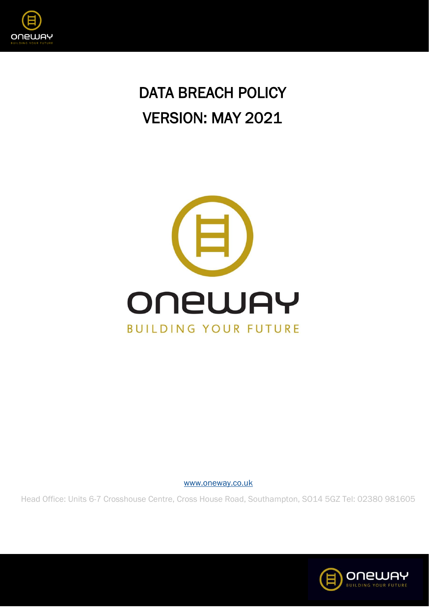

# DATA BREACH POLICY VERSION: MAY 2021



[www.oneway.co.uk](http://www.oneway.co.uk/)

Head Office: Units 6-7 Crosshouse Centre, Cross House Road, Southampton, SO14 5GZ Tel: 02380 981605

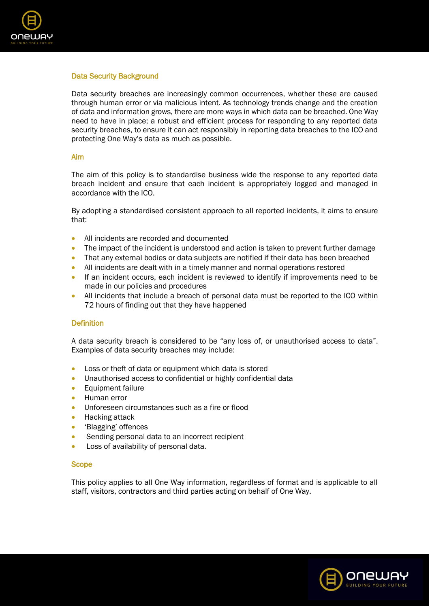

# Data Security Background

Data security breaches are increasingly common occurrences, whether these are caused through human error or via malicious intent. As technology trends change and the creation of data and information grows, there are more ways in which data can be breached. One Way need to have in place; a robust and efficient process for responding to any reported data security breaches, to ensure it can act responsibly in reporting data breaches to the ICO and protecting One Way's data as much as possible.

## Aim

The aim of this policy is to standardise business wide the response to any reported data breach incident and ensure that each incident is appropriately logged and managed in accordance with the ICO.

By adopting a standardised consistent approach to all reported incidents, it aims to ensure that:

- All incidents are recorded and documented
- The impact of the incident is understood and action is taken to prevent further damage
- That any external bodies or data subjects are notified if their data has been breached
- All incidents are dealt with in a timely manner and normal operations restored
- If an incident occurs, each incident is reviewed to identify if improvements need to be made in our policies and procedures
- All incidents that include a breach of personal data must be reported to the ICO within 72 hours of finding out that they have happened

## **Definition**

A data security breach is considered to be "any loss of, or unauthorised access to data". Examples of data security breaches may include:

- Loss or theft of data or equipment which data is stored
- Unauthorised access to confidential or highly confidential data
- Equipment failure
- Human error
- Unforeseen circumstances such as a fire or flood
- Hacking attack
- 'Blagging' offences
- Sending personal data to an incorrect recipient
- Loss of availability of personal data.

## Scope

This policy applies to all One Way information, regardless of format and is applicable to all staff, visitors, contractors and third parties acting on behalf of One Way.

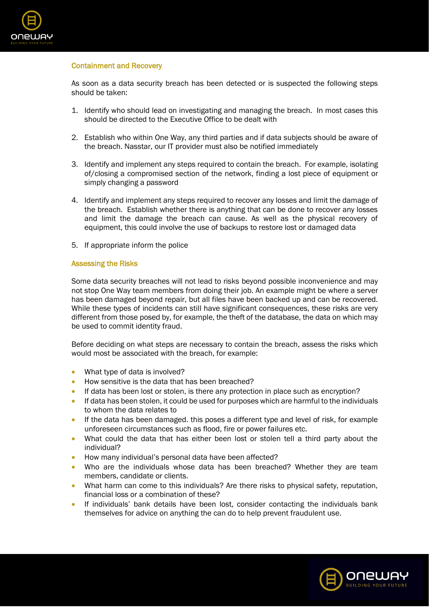

## Containment and Recovery

As soon as a data security breach has been detected or is suspected the following steps should be taken:

- 1. Identify who should lead on investigating and managing the breach. In most cases this should be directed to the Executive Office to be dealt with
- 2. Establish who within One Way, any third parties and if data subjects should be aware of the breach. Nasstar, our IT provider must also be notified immediately
- 3. Identify and implement any steps required to contain the breach. For example, isolating of/closing a compromised section of the network, finding a lost piece of equipment or simply changing a password
- 4. Identify and implement any steps required to recover any losses and limit the damage of the breach. Establish whether there is anything that can be done to recover any losses and limit the damage the breach can cause. As well as the physical recovery of equipment, this could involve the use of backups to restore lost or damaged data
- 5. If appropriate inform the police

#### Assessing the Risks

Some data security breaches will not lead to risks beyond possible inconvenience and may not stop One Way team members from doing their job. An example might be where a server has been damaged beyond repair, but all files have been backed up and can be recovered. While these types of incidents can still have significant consequences, these risks are very different from those posed by, for example, the theft of the database, the data on which may be used to commit identity fraud.

Before deciding on what steps are necessary to contain the breach, assess the risks which would most be associated with the breach, for example:

- What type of data is involved?
- How sensitive is the data that has been breached?
- If data has been lost or stolen, is there any protection in place such as encryption?
- If data has been stolen, it could be used for purposes which are harmful to the individuals to whom the data relates to
- If the data has been damaged. this poses a different type and level of risk, for example unforeseen circumstances such as flood, fire or power failures etc.
- What could the data that has either been lost or stolen tell a third party about the individual?
- How many individual's personal data have been affected?
- Who are the individuals whose data has been breached? Whether they are team members, candidate or clients.
- What harm can come to this individuals? Are there risks to physical safety, reputation, financial loss or a combination of these?
- If individuals' bank details have been lost, consider contacting the individuals bank themselves for advice on anything the can do to help prevent fraudulent use.

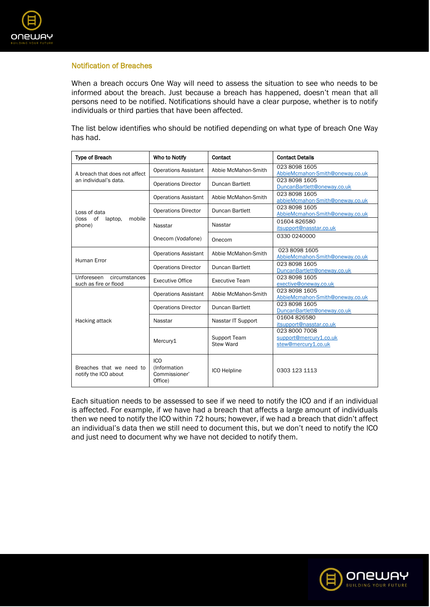

# Notification of Breaches

When a breach occurs One Way will need to assess the situation to see who needs to be informed about the breach. Just because a breach has happened, doesn't mean that all persons need to be notified. Notifications should have a clear purpose, whether is to notify individuals or third parties that have been affected.

The list below identifies who should be notified depending on what type of breach One Way has had.

| <b>Type of Breach</b>                                   | Who to Notify                                          | Contact                          | <b>Contact Details</b>                                         |
|---------------------------------------------------------|--------------------------------------------------------|----------------------------------|----------------------------------------------------------------|
| A breach that does not affect<br>an individual's data.  | <b>Operations Assistant</b>                            | Abbie McMahon-Smith              | 023 8098 1605<br>AbbieMcmahon-Smith@oneway.co.uk               |
|                                                         | <b>Operations Director</b>                             | Duncan Bartlett                  | 023 8098 1605<br>DuncanBartlett@oneway.co.uk                   |
| Loss of data<br>(loss of<br>mobile<br>laptop,<br>phone) | <b>Operations Assistant</b>                            | Abbie McMahon-Smith              | 023 8098 1605<br>abbieMcmahon-Smith@oneway.co.uk               |
|                                                         | <b>Operations Director</b>                             | Duncan Bartlett                  | 023 8098 1605<br>AbbieMcmahon-Smith@oneway.co.uk               |
|                                                         | Nasstar                                                | Nasstar                          | 01604826580<br>itsupport@nasstar.co.uk                         |
|                                                         | Onecom (Vodafone)                                      | Onecom                           | 0330 0240000                                                   |
| <b>Human Error</b>                                      | <b>Operations Assistant</b>                            | Abbie McMahon-Smith              | 023 8098 1605<br>AbbieMcmahon-Smith@oneway.co.uk               |
|                                                         | <b>Operations Director</b>                             | <b>Duncan Bartlett</b>           | 023 8098 1605<br>DuncanBartlett@oneway.co.uk                   |
| Unforeseen circumstances<br>such as fire or flood       | <b>Executive Office</b>                                | <b>Executive Team</b>            | 023 8098 1605<br>exective@oneway.co.uk                         |
| Hacking attack                                          | <b>Operations Assistant</b>                            | Abbie McMahon-Smith              | 023 8098 1605<br>AbbieMcmahon-Smith@oneway.co.uk               |
|                                                         | <b>Operations Director</b>                             | Duncan Bartlett                  | 023 8098 1605<br>DuncanBartlett@oneway.co.uk                   |
|                                                         | Nasstar                                                | Nasstar IT Support               | 01604826580<br>itsupport@nasstar.co.uk                         |
|                                                         | Mercury1                                               | Support Team<br><b>Stew Ward</b> | 023 8000 7008<br>support@mercury1.co.uk<br>stew@mercury1.co.uk |
| Breaches that we need to<br>notify the ICO about        | <b>ICO</b><br>(Information<br>Commissioner'<br>Office) | <b>ICO Helpline</b>              | 0303 123 1113                                                  |

Each situation needs to be assessed to see if we need to notify the ICO and if an individual is affected. For example, if we have had a breach that affects a large amount of individuals then we need to notify the ICO within 72 hours; however, if we had a breach that didn't affect an individual's data then we still need to document this, but we don't need to notify the ICO and just need to document why we have not decided to notify them.